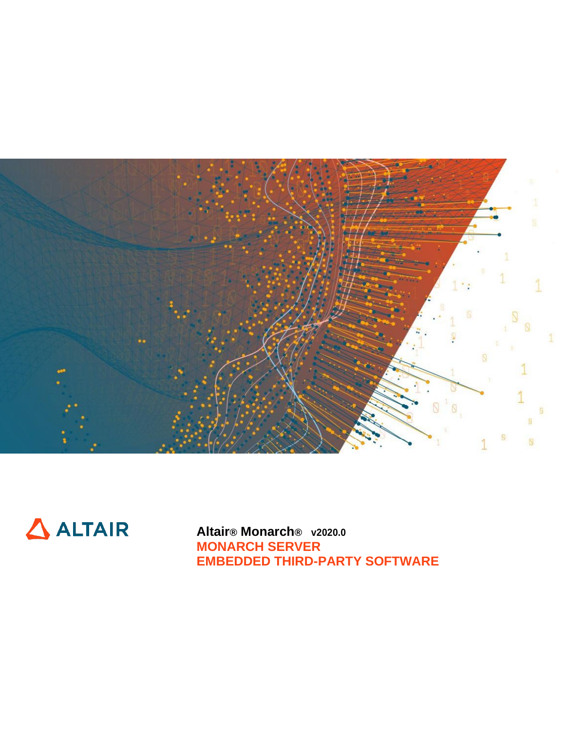



**Altair® Monarch® v2020.0 MONARCH SERVER EMBEDDED THIRD-PARTY SOFTWARE**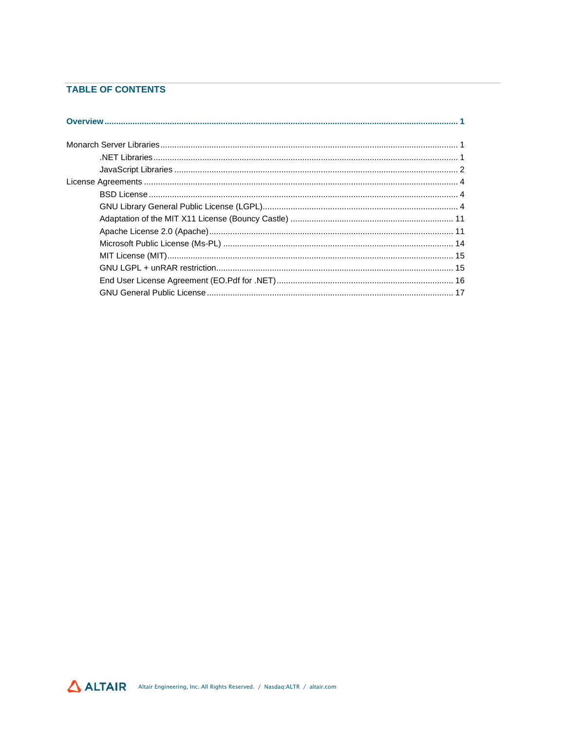## **TABLE OF CONTENTS**

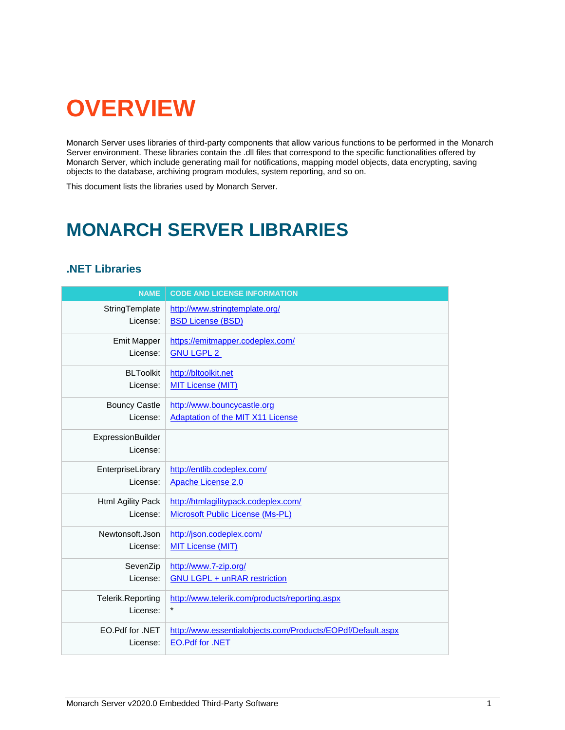# <span id="page-2-0"></span>**OVERVIEW**

Monarch Server uses libraries of third-party components that allow various functions to be performed in the Monarch Server environment. These libraries contain the .dll files that correspond to the specific functionalities offered by Monarch Server, which include generating mail for notifications, mapping model objects, data encrypting, saving objects to the database, archiving program modules, system reporting, and so on.

<span id="page-2-1"></span>This document lists the libraries used by Monarch Server.

## **MONARCH SERVER LIBRARIES**

## <span id="page-2-2"></span>**.NET Libraries**

| <b>NAME</b>                   | <b>CODE AND LICENSE INFORMATION</b>                         |
|-------------------------------|-------------------------------------------------------------|
| StringTemplate                | http://www.stringtemplate.org/                              |
| License:                      | <b>BSD License (BSD)</b>                                    |
| <b>Emit Mapper</b>            | https://emitmapper.codeplex.com/                            |
| License:                      | <b>GNU LGPL 2</b>                                           |
| <b>BLToolkit</b>              | http://bltoolkit.net                                        |
| License:                      | <b>MIT License (MIT)</b>                                    |
| <b>Bouncy Castle</b>          | http://www.bouncycastle.org                                 |
| License:                      | <b>Adaptation of the MIT X11 License</b>                    |
| ExpressionBuilder<br>License: |                                                             |
| EnterpriseLibrary             | http://entlib.codeplex.com/                                 |
| License:                      | Apache License 2.0                                          |
| Html Agility Pack             | http://htmlagilitypack.codeplex.com/                        |
| License:                      | <b>Microsoft Public License (Ms-PL)</b>                     |
| Newtonsoft.Json               | http://json.codeplex.com/                                   |
| License:                      | <b>MIT License (MIT)</b>                                    |
| SevenZip                      | http://www.7-zip.org/                                       |
| License:                      | <b>GNU LGPL + unRAR restriction</b>                         |
| Telerik.Reporting             | http://www.telerik.com/products/reporting.aspx              |
| License:                      | $\star$                                                     |
| EO.Pdf for .NET               | http://www.essentialobjects.com/Products/EOPdf/Default.aspx |
| License:                      | <b>EO.Pdf for .NET</b>                                      |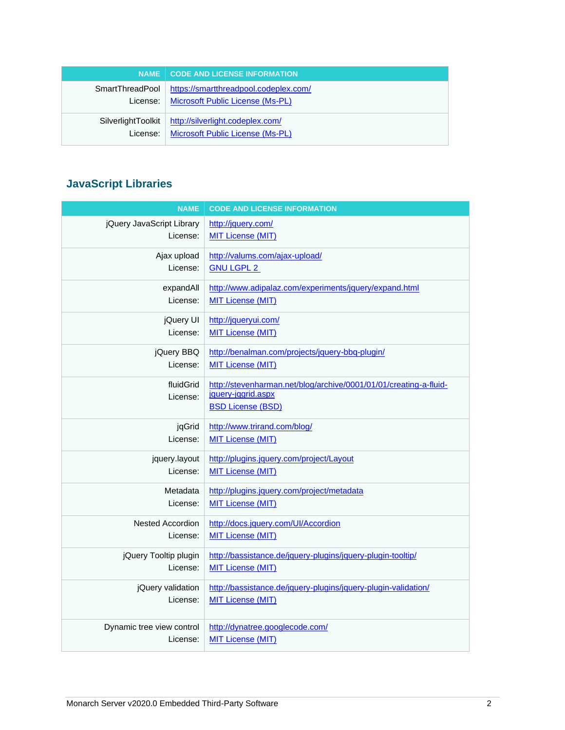|                             | NAME   CODE AND LICENSE INFORMATION                                                       |
|-----------------------------|-------------------------------------------------------------------------------------------|
| SmartThreadPool<br>License: | https://smartthreadpool.codeplex.com/<br>Microsoft Public License (Ms-PL)                 |
| License:                    | SilverlightToolkit   http://silverlight.codeplex.com/<br>Microsoft Public License (Ms-PL) |

## <span id="page-3-0"></span>**JavaScript Libraries**

| <b>NAME</b>               | <b>CODE AND LICENSE INFORMATION</b>                                                                                 |
|---------------------------|---------------------------------------------------------------------------------------------------------------------|
| jQuery JavaScript Library | http://jquery.com/                                                                                                  |
| License:                  | <b>MIT License (MIT)</b>                                                                                            |
| Ajax upload               | http://valums.com/ajax-upload/                                                                                      |
| License:                  | <b>GNU LGPL 2</b>                                                                                                   |
| expandAll                 | http://www.adipalaz.com/experiments/jquery/expand.html                                                              |
| License:                  | <b>MIT License (MIT)</b>                                                                                            |
| jQuery UI                 | http://jqueryui.com/                                                                                                |
| License:                  | <b>MIT License (MIT)</b>                                                                                            |
| jQuery BBQ                | http://benalman.com/projects/jquery-bbq-plugin/                                                                     |
| License:                  | <b>MIT License (MIT)</b>                                                                                            |
| fluidGrid<br>License:     | http://stevenharman.net/blog/archive/0001/01/01/creating-a-fluid-<br>jquery-jqgrid.aspx<br><b>BSD License (BSD)</b> |
| jqGrid                    | http://www.trirand.com/blog/                                                                                        |
| License:                  | <b>MIT License (MIT)</b>                                                                                            |
| jquery.layout             | http://plugins.jquery.com/project/Layout                                                                            |
| License:                  | <b>MIT License (MIT)</b>                                                                                            |
| Metadata                  | http://plugins.jquery.com/project/metadata                                                                          |
| License:                  | <b>MIT License (MIT)</b>                                                                                            |
| <b>Nested Accordion</b>   | http://docs.jquery.com/UI/Accordion                                                                                 |
| License:                  | <b>MIT License (MIT)</b>                                                                                            |
| jQuery Tooltip plugin     | http://bassistance.de/jquery-plugins/jquery-plugin-tooltip/                                                         |
| License:                  | <b>MIT License (MIT)</b>                                                                                            |
| jQuery validation         | http://bassistance.de/jquery-plugins/jquery-plugin-validation/                                                      |
| License:                  | <b>MIT License (MIT)</b>                                                                                            |
| Dynamic tree view control | http://dynatree.googlecode.com/                                                                                     |
| License:                  | <b>MIT License (MIT)</b>                                                                                            |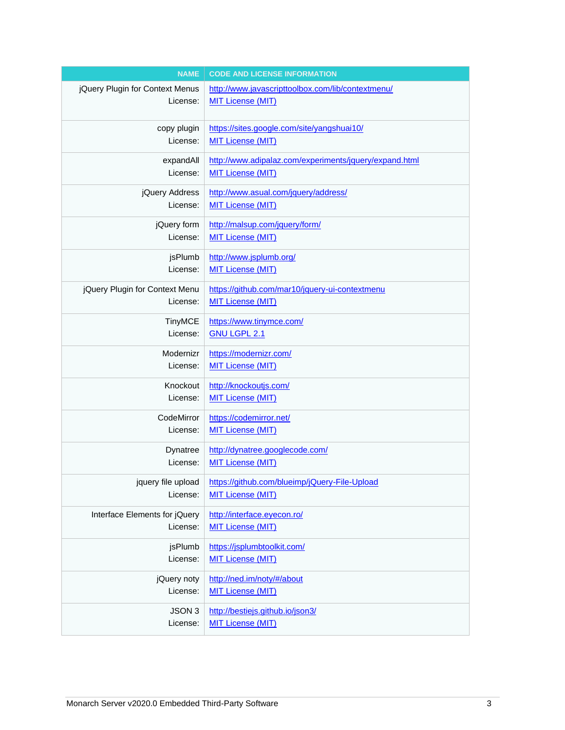| <b>NAME</b>                     | <b>CODE AND LICENSE INFORMATION</b>                                                            |
|---------------------------------|------------------------------------------------------------------------------------------------|
| jQuery Plugin for Context Menus | http://www.javascripttoolbox.com/lib/contextmenu/                                              |
| License:                        | <b>MIT License (MIT)</b>                                                                       |
| copy plugin                     | https://sites.google.com/site/yangshuai10/                                                     |
| License:                        | <b>MIT License (MIT)</b>                                                                       |
| expandAll                       | http://www.adipalaz.com/experiments/jquery/expand.html                                         |
| License:                        | <b>MIT License (MIT)</b>                                                                       |
| jQuery Address                  | http://www.asual.com/jquery/address/                                                           |
| License:                        | <b>MIT License (MIT)</b>                                                                       |
| jQuery form                     | http://malsup.com/jquery/form/                                                                 |
| License:                        | <b>MIT License (MIT)</b>                                                                       |
| jsPlumb                         | http://www.jsplumb.org/                                                                        |
| License:                        | <b>MIT License (MIT)</b>                                                                       |
| jQuery Plugin for Context Menu  | https://github.com/mar10/jquery-ui-contextmenu                                                 |
| License:                        | <b>MIT License (MIT)</b>                                                                       |
| <b>TinyMCE</b>                  | https://www.tinymce.com/                                                                       |
| License:                        | <b>GNU LGPL 2.1</b>                                                                            |
| Modernizr                       | https://modernizr.com/                                                                         |
| License:                        | <b>MIT License (MIT)</b>                                                                       |
| Knockout                        | http://knockoutjs.com/                                                                         |
| License:                        | <b>MIT License (MIT)</b>                                                                       |
| CodeMirror                      | https://codemirror.net/                                                                        |
| License:                        | <b>MIT License (MIT)</b>                                                                       |
| Dynatree                        | http://dynatree.googlecode.com/                                                                |
| License:                        | <b>MIT License (MIT)</b>                                                                       |
| License:                        | jquery file upload   https://github.com/blueimp/jQuery-File-Upload<br><b>MIT License (MIT)</b> |
| Interface Elements for jQuery   | http://interface.eyecon.ro/                                                                    |
| License:                        | <b>MIT License (MIT)</b>                                                                       |
| jsPlumb                         | https://jsplumbtoolkit.com/                                                                    |
| License:                        | <b>MIT License (MIT)</b>                                                                       |
| jQuery noty                     | http://ned.im/noty/#/about                                                                     |
| License:                        | <b>MIT License (MIT)</b>                                                                       |
| JSON 3                          | http://bestiejs.github.io/json3/                                                               |
| License:                        | <b>MIT License (MIT)</b>                                                                       |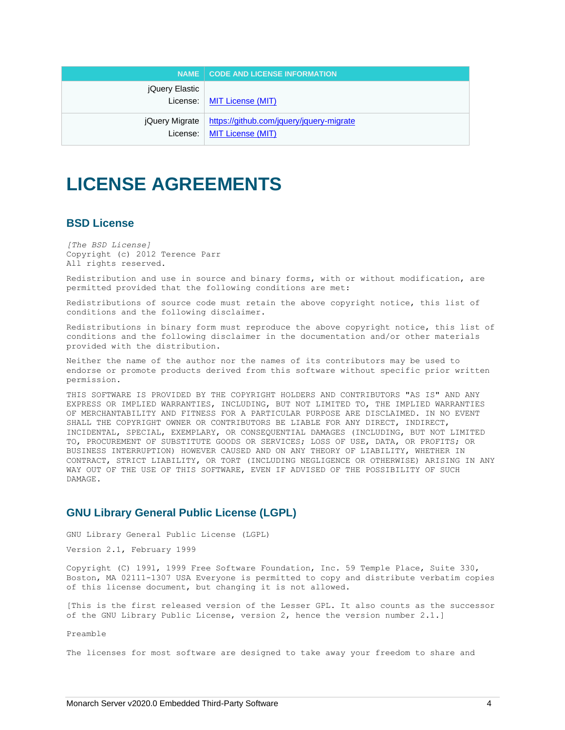|                | NAME   CODE AND LICENSE INFORMATION                                                       |
|----------------|-------------------------------------------------------------------------------------------|
| jQuery Elastic | License:   MIT License (MIT)                                                              |
|                | jQuery Migrate   https://github.com/jquery/jquery-migrate<br>License:   MIT License (MIT) |

## <span id="page-5-0"></span>**LICENSE AGREEMENTS**

## <span id="page-5-1"></span>**BSD License**

*[The BSD License]* Copyright (c) 2012 Terence Parr All rights reserved.

Redistribution and use in source and binary forms, with or without modification, are permitted provided that the following conditions are met:

Redistributions of source code must retain the above copyright notice, this list of conditions and the following disclaimer.

Redistributions in binary form must reproduce the above copyright notice, this list of conditions and the following disclaimer in the documentation and/or other materials provided with the distribution.

Neither the name of the author nor the names of its contributors may be used to endorse or promote products derived from this software without specific prior written permission.

THIS SOFTWARE IS PROVIDED BY THE COPYRIGHT HOLDERS AND CONTRIBUTORS "AS IS" AND ANY EXPRESS OR IMPLIED WARRANTIES, INCLUDING, BUT NOT LIMITED TO, THE IMPLIED WARRANTIES OF MERCHANTABILITY AND FITNESS FOR A PARTICULAR PURPOSE ARE DISCLAIMED. IN NO EVENT SHALL THE COPYRIGHT OWNER OR CONTRIBUTORS BE LIABLE FOR ANY DIRECT, INDIRECT, INCIDENTAL, SPECIAL, EXEMPLARY, OR CONSEQUENTIAL DAMAGES (INCLUDING, BUT NOT LIMITED TO, PROCUREMENT OF SUBSTITUTE GOODS OR SERVICES; LOSS OF USE, DATA, OR PROFITS; OR BUSINESS INTERRUPTION) HOWEVER CAUSED AND ON ANY THEORY OF LIABILITY, WHETHER IN CONTRACT, STRICT LIABILITY, OR TORT (INCLUDING NEGLIGENCE OR OTHERWISE) ARISING IN ANY WAY OUT OF THE USE OF THIS SOFTWARE, EVEN IF ADVISED OF THE POSSIBILITY OF SUCH DAMAGE.

## <span id="page-5-2"></span>**GNU Library General Public License (LGPL)**

GNU Library General Public License (LGPL)

Version 2.1, February 1999

Copyright (C) 1991, 1999 Free Software Foundation, Inc. 59 Temple Place, Suite 330, Boston, MA 02111-1307 USA Everyone is permitted to copy and distribute verbatim copies of this license document, but changing it is not allowed.

[This is the first released version of the Lesser GPL. It also counts as the successor of the GNU Library Public License, version 2, hence the version number 2.1.]

Preamble

The licenses for most software are designed to take away your freedom to share and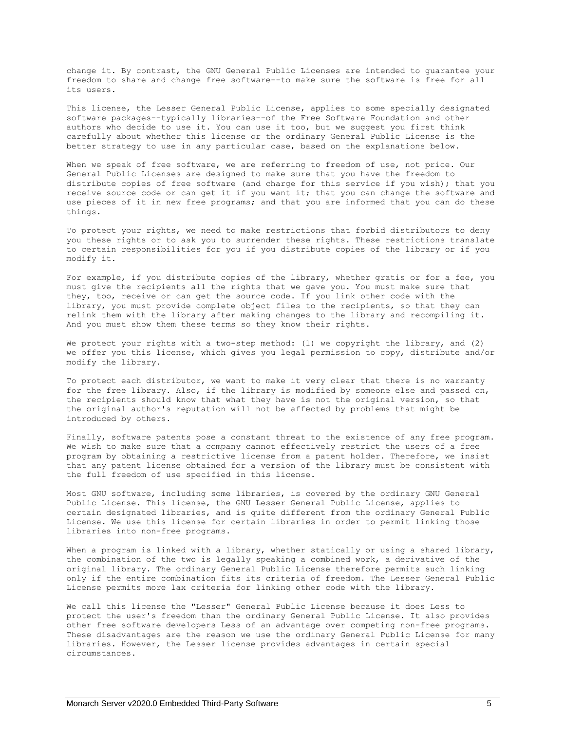change it. By contrast, the GNU General Public Licenses are intended to guarantee your freedom to share and change free software--to make sure the software is free for all its users.

This license, the Lesser General Public License, applies to some specially designated software packages--typically libraries--of the Free Software Foundation and other authors who decide to use it. You can use it too, but we suggest you first think carefully about whether this license or the ordinary General Public License is the better strategy to use in any particular case, based on the explanations below.

When we speak of free software, we are referring to freedom of use, not price. Our General Public Licenses are designed to make sure that you have the freedom to distribute copies of free software (and charge for this service if you wish); that you receive source code or can get it if you want it; that you can change the software and use pieces of it in new free programs; and that you are informed that you can do these things.

To protect your rights, we need to make restrictions that forbid distributors to deny you these rights or to ask you to surrender these rights. These restrictions translate to certain responsibilities for you if you distribute copies of the library or if you modify it.

For example, if you distribute copies of the library, whether gratis or for a fee, you must give the recipients all the rights that we gave you. You must make sure that they, too, receive or can get the source code. If you link other code with the library, you must provide complete object files to the recipients, so that they can relink them with the library after making changes to the library and recompiling it. And you must show them these terms so they know their rights.

We protect your rights with a two-step method: (1) we copyright the library, and (2) we offer you this license, which gives you legal permission to copy, distribute and/or modify the library.

To protect each distributor, we want to make it very clear that there is no warranty for the free library. Also, if the library is modified by someone else and passed on, the recipients should know that what they have is not the original version, so that the original author's reputation will not be affected by problems that might be introduced by others.

Finally, software patents pose a constant threat to the existence of any free program. We wish to make sure that a company cannot effectively restrict the users of a free program by obtaining a restrictive license from a patent holder. Therefore, we insist that any patent license obtained for a version of the library must be consistent with the full freedom of use specified in this license.

Most GNU software, including some libraries, is covered by the ordinary GNU General Public License. This license, the GNU Lesser General Public License, applies to certain designated libraries, and is quite different from the ordinary General Public License. We use this license for certain libraries in order to permit linking those libraries into non-free programs.

When a program is linked with a library, whether statically or using a shared library, the combination of the two is legally speaking a combined work, a derivative of the original library. The ordinary General Public License therefore permits such linking only if the entire combination fits its criteria of freedom. The Lesser General Public License permits more lax criteria for linking other code with the library.

We call this license the "Lesser" General Public License because it does Less to protect the user's freedom than the ordinary General Public License. It also provides other free software developers Less of an advantage over competing non-free programs. These disadvantages are the reason we use the ordinary General Public License for many libraries. However, the Lesser license provides advantages in certain special circumstances.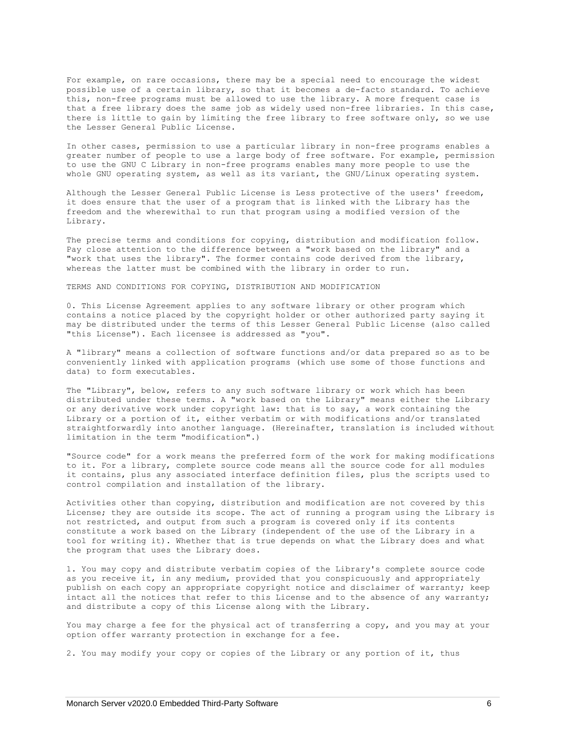For example, on rare occasions, there may be a special need to encourage the widest possible use of a certain library, so that it becomes a de-facto standard. To achieve this, non-free programs must be allowed to use the library. A more frequent case is that a free library does the same job as widely used non-free libraries. In this case, there is little to gain by limiting the free library to free software only, so we use the Lesser General Public License.

In other cases, permission to use a particular library in non-free programs enables a greater number of people to use a large body of free software. For example, permission to use the GNU C Library in non-free programs enables many more people to use the whole GNU operating system, as well as its variant, the GNU/Linux operating system.

Although the Lesser General Public License is Less protective of the users' freedom, it does ensure that the user of a program that is linked with the Library has the freedom and the wherewithal to run that program using a modified version of the Library.

The precise terms and conditions for copying, distribution and modification follow. Pay close attention to the difference between a "work based on the library" and a "work that uses the library". The former contains code derived from the library, whereas the latter must be combined with the library in order to run.

TERMS AND CONDITIONS FOR COPYING, DISTRIBUTION AND MODIFICATION

0. This License Agreement applies to any software library or other program which contains a notice placed by the copyright holder or other authorized party saying it may be distributed under the terms of this Lesser General Public License (also called "this License"). Each licensee is addressed as "you".

A "library" means a collection of software functions and/or data prepared so as to be conveniently linked with application programs (which use some of those functions and data) to form executables.

The "Library", below, refers to any such software library or work which has been distributed under these terms. A "work based on the Library" means either the Library or any derivative work under copyright law: that is to say, a work containing the Library or a portion of it, either verbatim or with modifications and/or translated straightforwardly into another language. (Hereinafter, translation is included without limitation in the term "modification".)

"Source code" for a work means the preferred form of the work for making modifications to it. For a library, complete source code means all the source code for all modules it contains, plus any associated interface definition files, plus the scripts used to control compilation and installation of the library.

Activities other than copying, distribution and modification are not covered by this License; they are outside its scope. The act of running a program using the Library is not restricted, and output from such a program is covered only if its contents constitute a work based on the Library (independent of the use of the Library in a tool for writing it). Whether that is true depends on what the Library does and what the program that uses the Library does.

1. You may copy and distribute verbatim copies of the Library's complete source code as you receive it, in any medium, provided that you conspicuously and appropriately publish on each copy an appropriate copyright notice and disclaimer of warranty; keep intact all the notices that refer to this License and to the absence of any warranty; and distribute a copy of this License along with the Library.

You may charge a fee for the physical act of transferring a copy, and you may at your option offer warranty protection in exchange for a fee.

2. You may modify your copy or copies of the Library or any portion of it, thus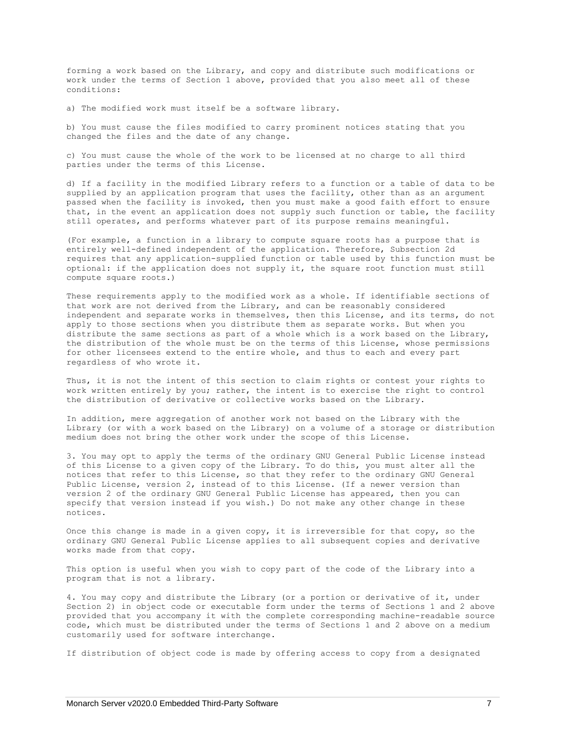forming a work based on the Library, and copy and distribute such modifications or work under the terms of Section 1 above, provided that you also meet all of these conditions:

a) The modified work must itself be a software library.

b) You must cause the files modified to carry prominent notices stating that you changed the files and the date of any change.

c) You must cause the whole of the work to be licensed at no charge to all third parties under the terms of this License.

d) If a facility in the modified Library refers to a function or a table of data to be supplied by an application program that uses the facility, other than as an argument passed when the facility is invoked, then you must make a good faith effort to ensure that, in the event an application does not supply such function or table, the facility still operates, and performs whatever part of its purpose remains meaningful.

(For example, a function in a library to compute square roots has a purpose that is entirely well-defined independent of the application. Therefore, Subsection 2d requires that any application-supplied function or table used by this function must be optional: if the application does not supply it, the square root function must still compute square roots.)

These requirements apply to the modified work as a whole. If identifiable sections of that work are not derived from the Library, and can be reasonably considered independent and separate works in themselves, then this License, and its terms, do not apply to those sections when you distribute them as separate works. But when you distribute the same sections as part of a whole which is a work based on the Library, the distribution of the whole must be on the terms of this License, whose permissions for other licensees extend to the entire whole, and thus to each and every part regardless of who wrote it.

Thus, it is not the intent of this section to claim rights or contest your rights to work written entirely by you; rather, the intent is to exercise the right to control the distribution of derivative or collective works based on the Library.

In addition, mere aggregation of another work not based on the Library with the Library (or with a work based on the Library) on a volume of a storage or distribution medium does not bring the other work under the scope of this License.

3. You may opt to apply the terms of the ordinary GNU General Public License instead of this License to a given copy of the Library. To do this, you must alter all the notices that refer to this License, so that they refer to the ordinary GNU General Public License, version 2, instead of to this License. (If a newer version than version 2 of the ordinary GNU General Public License has appeared, then you can specify that version instead if you wish.) Do not make any other change in these notices.

Once this change is made in a given copy, it is irreversible for that copy, so the ordinary GNU General Public License applies to all subsequent copies and derivative works made from that copy.

This option is useful when you wish to copy part of the code of the Library into a program that is not a library.

4. You may copy and distribute the Library (or a portion or derivative of it, under Section 2) in object code or executable form under the terms of Sections 1 and 2 above provided that you accompany it with the complete corresponding machine-readable source code, which must be distributed under the terms of Sections 1 and 2 above on a medium customarily used for software interchange.

If distribution of object code is made by offering access to copy from a designated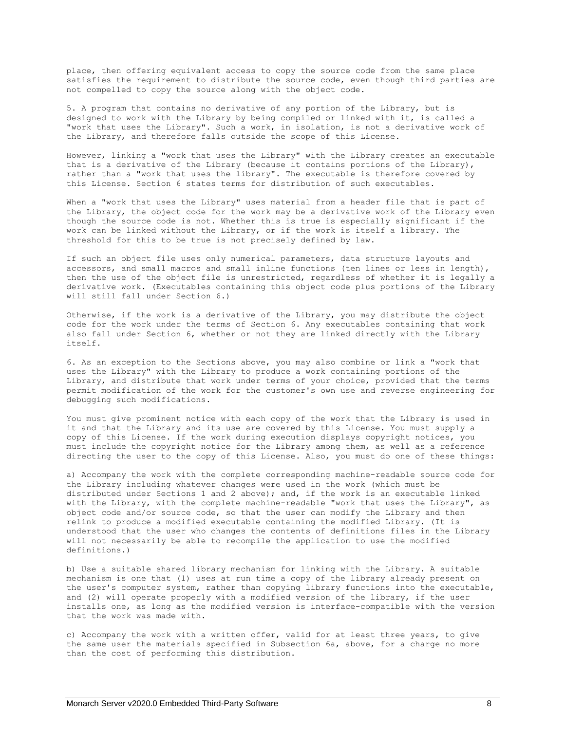place, then offering equivalent access to copy the source code from the same place satisfies the requirement to distribute the source code, even though third parties are not compelled to copy the source along with the object code.

5. A program that contains no derivative of any portion of the Library, but is designed to work with the Library by being compiled or linked with it, is called a "work that uses the Library". Such a work, in isolation, is not a derivative work of the Library, and therefore falls outside the scope of this License.

However, linking a "work that uses the Library" with the Library creates an executable that is a derivative of the Library (because it contains portions of the Library), rather than a "work that uses the library". The executable is therefore covered by this License. Section 6 states terms for distribution of such executables.

When a "work that uses the Library" uses material from a header file that is part of the Library, the object code for the work may be a derivative work of the Library even though the source code is not. Whether this is true is especially significant if the work can be linked without the Library, or if the work is itself a library. The threshold for this to be true is not precisely defined by law.

If such an object file uses only numerical parameters, data structure layouts and accessors, and small macros and small inline functions (ten lines or less in length), then the use of the object file is unrestricted, regardless of whether it is legally a derivative work. (Executables containing this object code plus portions of the Library will still fall under Section 6.)

Otherwise, if the work is a derivative of the Library, you may distribute the object code for the work under the terms of Section 6. Any executables containing that work also fall under Section 6, whether or not they are linked directly with the Library itself.

6. As an exception to the Sections above, you may also combine or link a "work that uses the Library" with the Library to produce a work containing portions of the Library, and distribute that work under terms of your choice, provided that the terms permit modification of the work for the customer's own use and reverse engineering for debugging such modifications.

You must give prominent notice with each copy of the work that the Library is used in it and that the Library and its use are covered by this License. You must supply a copy of this License. If the work during execution displays copyright notices, you must include the copyright notice for the Library among them, as well as a reference directing the user to the copy of this License. Also, you must do one of these things:

a) Accompany the work with the complete corresponding machine-readable source code for the Library including whatever changes were used in the work (which must be distributed under Sections 1 and 2 above); and, if the work is an executable linked with the Library, with the complete machine-readable "work that uses the Library", as object code and/or source code, so that the user can modify the Library and then relink to produce a modified executable containing the modified Library. (It is understood that the user who changes the contents of definitions files in the Library will not necessarily be able to recompile the application to use the modified definitions.)

b) Use a suitable shared library mechanism for linking with the Library. A suitable mechanism is one that (1) uses at run time a copy of the library already present on the user's computer system, rather than copying library functions into the executable, and (2) will operate properly with a modified version of the library, if the user installs one, as long as the modified version is interface-compatible with the version that the work was made with.

c) Accompany the work with a written offer, valid for at least three years, to give the same user the materials specified in Subsection 6a, above, for a charge no more than the cost of performing this distribution.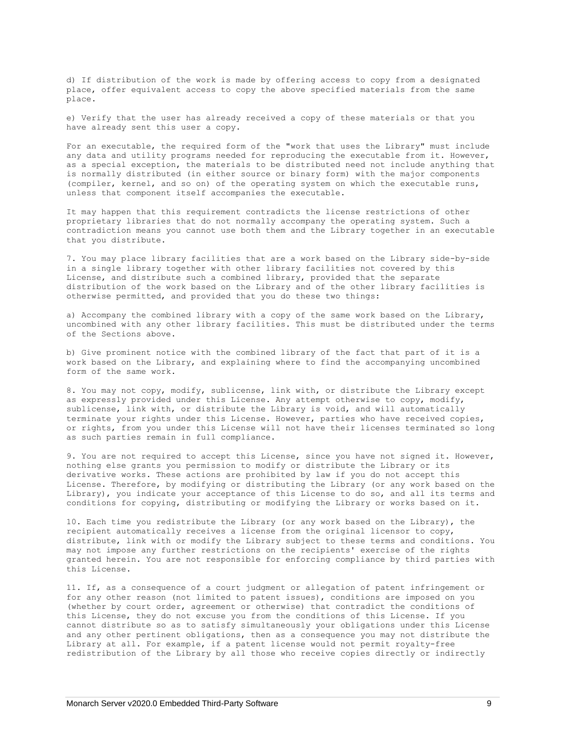d) If distribution of the work is made by offering access to copy from a designated place, offer equivalent access to copy the above specified materials from the same place.

e) Verify that the user has already received a copy of these materials or that you have already sent this user a copy.

For an executable, the required form of the "work that uses the Library" must include any data and utility programs needed for reproducing the executable from it. However, as a special exception, the materials to be distributed need not include anything that is normally distributed (in either source or binary form) with the major components (compiler, kernel, and so on) of the operating system on which the executable runs, unless that component itself accompanies the executable.

It may happen that this requirement contradicts the license restrictions of other proprietary libraries that do not normally accompany the operating system. Such a contradiction means you cannot use both them and the Library together in an executable that you distribute.

7. You may place library facilities that are a work based on the Library side-by-side in a single library together with other library facilities not covered by this License, and distribute such a combined library, provided that the separate distribution of the work based on the Library and of the other library facilities is otherwise permitted, and provided that you do these two things:

a) Accompany the combined library with a copy of the same work based on the Library, uncombined with any other library facilities. This must be distributed under the terms of the Sections above.

b) Give prominent notice with the combined library of the fact that part of it is a work based on the Library, and explaining where to find the accompanying uncombined form of the same work.

8. You may not copy, modify, sublicense, link with, or distribute the Library except as expressly provided under this License. Any attempt otherwise to copy, modify, sublicense, link with, or distribute the Library is void, and will automatically terminate your rights under this License. However, parties who have received copies, or rights, from you under this License will not have their licenses terminated so long as such parties remain in full compliance.

9. You are not required to accept this License, since you have not signed it. However, nothing else grants you permission to modify or distribute the Library or its derivative works. These actions are prohibited by law if you do not accept this License. Therefore, by modifying or distributing the Library (or any work based on the Library), you indicate your acceptance of this License to do so, and all its terms and conditions for copying, distributing or modifying the Library or works based on it.

10. Each time you redistribute the Library (or any work based on the Library), the recipient automatically receives a license from the original licensor to copy, distribute, link with or modify the Library subject to these terms and conditions. You may not impose any further restrictions on the recipients' exercise of the rights granted herein. You are not responsible for enforcing compliance by third parties with this License.

11. If, as a consequence of a court judgment or allegation of patent infringement or for any other reason (not limited to patent issues), conditions are imposed on you (whether by court order, agreement or otherwise) that contradict the conditions of this License, they do not excuse you from the conditions of this License. If you cannot distribute so as to satisfy simultaneously your obligations under this License and any other pertinent obligations, then as a consequence you may not distribute the Library at all. For example, if a patent license would not permit royalty-free redistribution of the Library by all those who receive copies directly or indirectly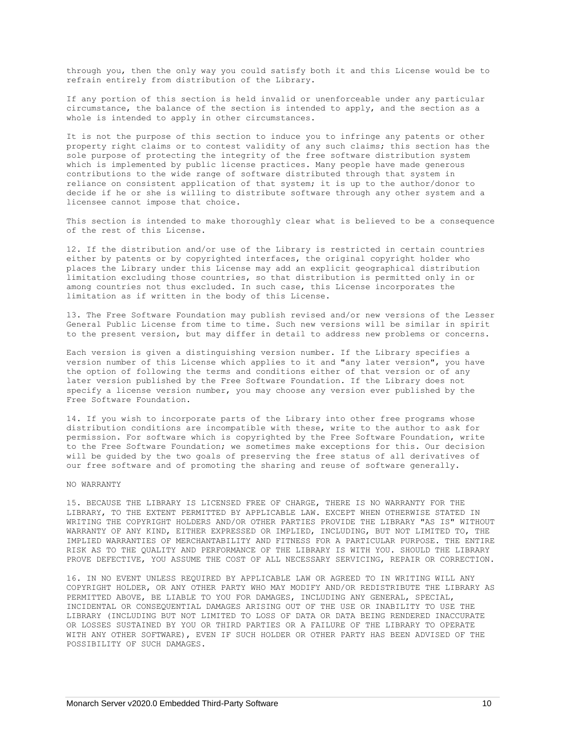through you, then the only way you could satisfy both it and this License would be to refrain entirely from distribution of the Library.

If any portion of this section is held invalid or unenforceable under any particular circumstance, the balance of the section is intended to apply, and the section as a whole is intended to apply in other circumstances.

It is not the purpose of this section to induce you to infringe any patents or other property right claims or to contest validity of any such claims; this section has the sole purpose of protecting the integrity of the free software distribution system which is implemented by public license practices. Many people have made generous contributions to the wide range of software distributed through that system in reliance on consistent application of that system; it is up to the author/donor to decide if he or she is willing to distribute software through any other system and a licensee cannot impose that choice.

This section is intended to make thoroughly clear what is believed to be a consequence of the rest of this License.

12. If the distribution and/or use of the Library is restricted in certain countries either by patents or by copyrighted interfaces, the original copyright holder who places the Library under this License may add an explicit geographical distribution limitation excluding those countries, so that distribution is permitted only in or among countries not thus excluded. In such case, this License incorporates the limitation as if written in the body of this License.

13. The Free Software Foundation may publish revised and/or new versions of the Lesser General Public License from time to time. Such new versions will be similar in spirit to the present version, but may differ in detail to address new problems or concerns.

Each version is given a distinguishing version number. If the Library specifies a version number of this License which applies to it and "any later version", you have the option of following the terms and conditions either of that version or of any later version published by the Free Software Foundation. If the Library does not specify a license version number, you may choose any version ever published by the Free Software Foundation.

14. If you wish to incorporate parts of the Library into other free programs whose distribution conditions are incompatible with these, write to the author to ask for permission. For software which is copyrighted by the Free Software Foundation, write to the Free Software Foundation; we sometimes make exceptions for this. Our decision will be guided by the two goals of preserving the free status of all derivatives of our free software and of promoting the sharing and reuse of software generally.

#### NO WARRANTY

15. BECAUSE THE LIBRARY IS LICENSED FREE OF CHARGE, THERE IS NO WARRANTY FOR THE LIBRARY, TO THE EXTENT PERMITTED BY APPLICABLE LAW. EXCEPT WHEN OTHERWISE STATED IN WRITING THE COPYRIGHT HOLDERS AND/OR OTHER PARTIES PROVIDE THE LIBRARY "AS IS" WITHOUT WARRANTY OF ANY KIND, EITHER EXPRESSED OR IMPLIED, INCLUDING, BUT NOT LIMITED TO, THE IMPLIED WARRANTIES OF MERCHANTABILITY AND FITNESS FOR A PARTICULAR PURPOSE. THE ENTIRE RISK AS TO THE QUALITY AND PERFORMANCE OF THE LIBRARY IS WITH YOU. SHOULD THE LIBRARY PROVE DEFECTIVE, YOU ASSUME THE COST OF ALL NECESSARY SERVICING, REPAIR OR CORRECTION.

16. IN NO EVENT UNLESS REQUIRED BY APPLICABLE LAW OR AGREED TO IN WRITING WILL ANY COPYRIGHT HOLDER, OR ANY OTHER PARTY WHO MAY MODIFY AND/OR REDISTRIBUTE THE LIBRARY AS PERMITTED ABOVE, BE LIABLE TO YOU FOR DAMAGES, INCLUDING ANY GENERAL, SPECIAL, INCIDENTAL OR CONSEQUENTIAL DAMAGES ARISING OUT OF THE USE OR INABILITY TO USE THE LIBRARY (INCLUDING BUT NOT LIMITED TO LOSS OF DATA OR DATA BEING RENDERED INACCURATE OR LOSSES SUSTAINED BY YOU OR THIRD PARTIES OR A FAILURE OF THE LIBRARY TO OPERATE WITH ANY OTHER SOFTWARE), EVEN IF SUCH HOLDER OR OTHER PARTY HAS BEEN ADVISED OF THE POSSIBILITY OF SUCH DAMAGES.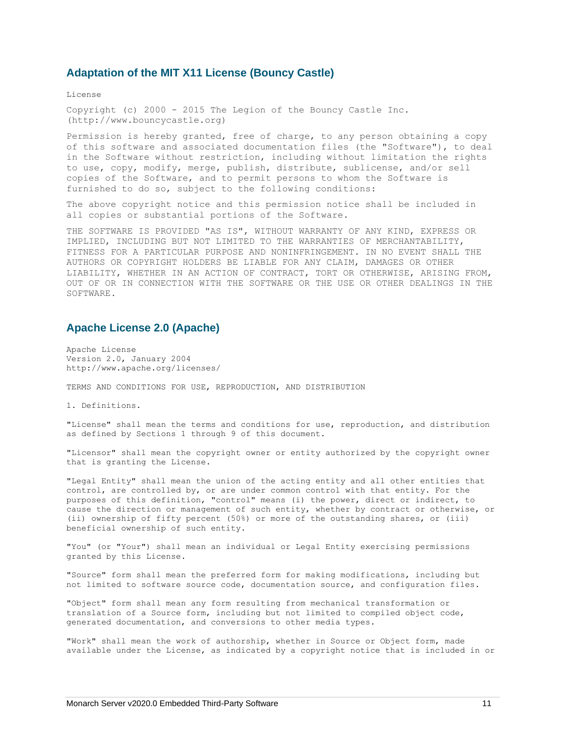### <span id="page-12-0"></span>**Adaptation of the [MIT X11 License](http://opensource.org/licenses/mit-license.php) (Bouncy Castle)**

License

Copyright (c) 2000 - 2015 The Legion of the Bouncy Castle Inc. (http://www.bouncycastle.org)

Permission is hereby granted, free of charge, to any person obtaining a copy of this software and associated documentation files (the "Software"), to deal in the Software without restriction, including without limitation the rights to use, copy, modify, merge, publish, distribute, sublicense, and/or sell copies of the Software, and to permit persons to whom the Software is furnished to do so, subject to the following conditions:

The above copyright notice and this permission notice shall be included in all copies or substantial portions of the Software.

THE SOFTWARE IS PROVIDED "AS IS", WITHOUT WARRANTY OF ANY KIND, EXPRESS OR IMPLIED, INCLUDING BUT NOT LIMITED TO THE WARRANTIES OF MERCHANTABILITY, FITNESS FOR A PARTICULAR PURPOSE AND NONINFRINGEMENT. IN NO EVENT SHALL THE AUTHORS OR COPYRIGHT HOLDERS BE LIABLE FOR ANY CLAIM, DAMAGES OR OTHER LIABILITY, WHETHER IN AN ACTION OF CONTRACT, TORT OR OTHERWISE, ARISING FROM, OUT OF OR IN CONNECTION WITH THE SOFTWARE OR THE USE OR OTHER DEALINGS IN THE SOFTWARE.

## <span id="page-12-1"></span>**Apache License 2.0 (Apache)**

Apache License Version 2.0, January 2004 http://www.apache.org/licenses/

TERMS AND CONDITIONS FOR USE, REPRODUCTION, AND DISTRIBUTION

1. Definitions.

"License" shall mean the terms and conditions for use, reproduction, and distribution as defined by Sections 1 through 9 of this document.

"Licensor" shall mean the copyright owner or entity authorized by the copyright owner that is granting the License.

"Legal Entity" shall mean the union of the acting entity and all other entities that control, are controlled by, or are under common control with that entity. For the purposes of this definition, "control" means (i) the power, direct or indirect, to cause the direction or management of such entity, whether by contract or otherwise, or (ii) ownership of fifty percent (50%) or more of the outstanding shares, or (iii) beneficial ownership of such entity.

"You" (or "Your") shall mean an individual or Legal Entity exercising permissions granted by this License.

"Source" form shall mean the preferred form for making modifications, including but not limited to software source code, documentation source, and configuration files.

"Object" form shall mean any form resulting from mechanical transformation or translation of a Source form, including but not limited to compiled object code, generated documentation, and conversions to other media types.

"Work" shall mean the work of authorship, whether in Source or Object form, made available under the License, as indicated by a copyright notice that is included in or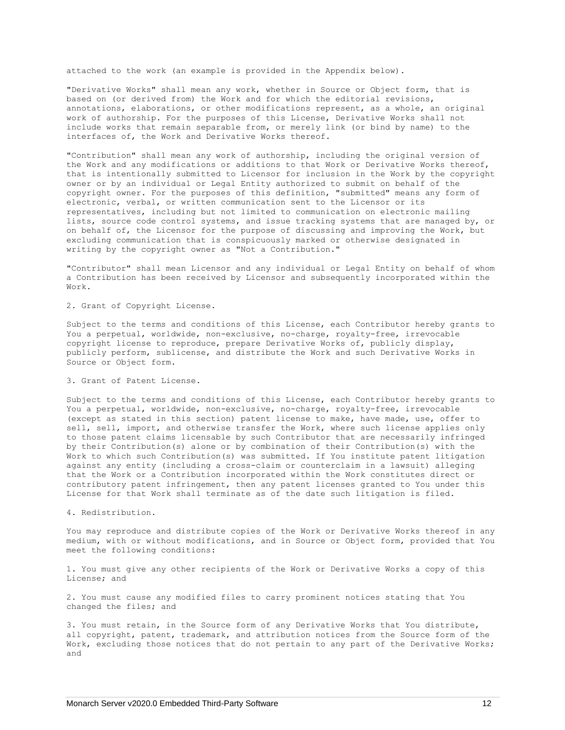attached to the work (an example is provided in the Appendix below).

"Derivative Works" shall mean any work, whether in Source or Object form, that is based on (or derived from) the Work and for which the editorial revisions, annotations, elaborations, or other modifications represent, as a whole, an original work of authorship. For the purposes of this License, Derivative Works shall not include works that remain separable from, or merely link (or bind by name) to the interfaces of, the Work and Derivative Works thereof.

"Contribution" shall mean any work of authorship, including the original version of the Work and any modifications or additions to that Work or Derivative Works thereof, that is intentionally submitted to Licensor for inclusion in the Work by the copyright owner or by an individual or Legal Entity authorized to submit on behalf of the copyright owner. For the purposes of this definition, "submitted" means any form of electronic, verbal, or written communication sent to the Licensor or its representatives, including but not limited to communication on electronic mailing lists, source code control systems, and issue tracking systems that are managed by, or on behalf of, the Licensor for the purpose of discussing and improving the Work, but excluding communication that is conspicuously marked or otherwise designated in writing by the copyright owner as "Not a Contribution."

"Contributor" shall mean Licensor and any individual or Legal Entity on behalf of whom a Contribution has been received by Licensor and subsequently incorporated within the Work.

2. Grant of Copyright License.

Subject to the terms and conditions of this License, each Contributor hereby grants to You a perpetual, worldwide, non-exclusive, no-charge, royalty-free, irrevocable copyright license to reproduce, prepare Derivative Works of, publicly display, publicly perform, sublicense, and distribute the Work and such Derivative Works in Source or Object form.

3. Grant of Patent License.

Subject to the terms and conditions of this License, each Contributor hereby grants to You a perpetual, worldwide, non-exclusive, no-charge, royalty-free, irrevocable (except as stated in this section) patent license to make, have made, use, offer to sell, sell, import, and otherwise transfer the Work, where such license applies only to those patent claims licensable by such Contributor that are necessarily infringed by their Contribution(s) alone or by combination of their Contribution(s) with the Work to which such Contribution(s) was submitted. If You institute patent litigation against any entity (including a cross-claim or counterclaim in a lawsuit) alleging that the Work or a Contribution incorporated within the Work constitutes direct or contributory patent infringement, then any patent licenses granted to You under this License for that Work shall terminate as of the date such litigation is filed.

4. Redistribution.

You may reproduce and distribute copies of the Work or Derivative Works thereof in any medium, with or without modifications, and in Source or Object form, provided that You meet the following conditions:

1. You must give any other recipients of the Work or Derivative Works a copy of this License; and

2. You must cause any modified files to carry prominent notices stating that You changed the files; and

3. You must retain, in the Source form of any Derivative Works that You distribute, all copyright, patent, trademark, and attribution notices from the Source form of the Work, excluding those notices that do not pertain to any part of the Derivative Works; and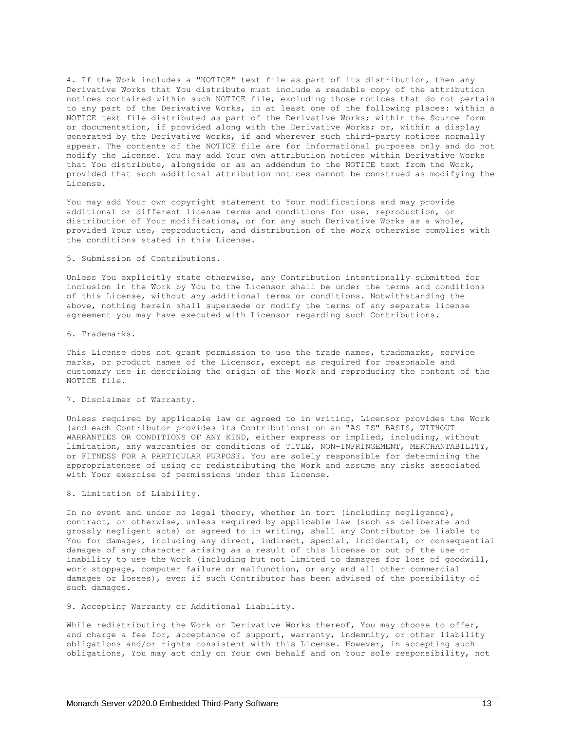4. If the Work includes a "NOTICE" text file as part of its distribution, then any Derivative Works that You distribute must include a readable copy of the attribution notices contained within such NOTICE file, excluding those notices that do not pertain to any part of the Derivative Works, in at least one of the following places: within a NOTICE text file distributed as part of the Derivative Works; within the Source form or documentation, if provided along with the Derivative Works; or, within a display generated by the Derivative Works, if and wherever such third-party notices normally appear. The contents of the NOTICE file are for informational purposes only and do not modify the License. You may add Your own attribution notices within Derivative Works that You distribute, alongside or as an addendum to the NOTICE text from the Work, provided that such additional attribution notices cannot be construed as modifying the License.

You may add Your own copyright statement to Your modifications and may provide additional or different license terms and conditions for use, reproduction, or distribution of Your modifications, or for any such Derivative Works as a whole, provided Your use, reproduction, and distribution of the Work otherwise complies with the conditions stated in this License.

#### 5. Submission of Contributions.

Unless You explicitly state otherwise, any Contribution intentionally submitted for inclusion in the Work by You to the Licensor shall be under the terms and conditions of this License, without any additional terms or conditions. Notwithstanding the above, nothing herein shall supersede or modify the terms of any separate license agreement you may have executed with Licensor regarding such Contributions.

6. Trademarks.

This License does not grant permission to use the trade names, trademarks, service marks, or product names of the Licensor, except as required for reasonable and customary use in describing the origin of the Work and reproducing the content of the NOTICE file.

#### 7. Disclaimer of Warranty.

Unless required by applicable law or agreed to in writing, Licensor provides the Work (and each Contributor provides its Contributions) on an "AS IS" BASIS, WITHOUT WARRANTIES OR CONDITIONS OF ANY KIND, either express or implied, including, without limitation, any warranties or conditions of TITLE, NON-INFRINGEMENT, MERCHANTABILITY, or FITNESS FOR A PARTICULAR PURPOSE. You are solely responsible for determining the appropriateness of using or redistributing the Work and assume any risks associated with Your exercise of permissions under this License.

#### 8. Limitation of Liability.

In no event and under no legal theory, whether in tort (including negligence), contract, or otherwise, unless required by applicable law (such as deliberate and grossly negligent acts) or agreed to in writing, shall any Contributor be liable to You for damages, including any direct, indirect, special, incidental, or consequential damages of any character arising as a result of this License or out of the use or inability to use the Work (including but not limited to damages for loss of goodwill, work stoppage, computer failure or malfunction, or any and all other commercial damages or losses), even if such Contributor has been advised of the possibility of such damages.

#### 9. Accepting Warranty or Additional Liability.

While redistributing the Work or Derivative Works thereof, You may choose to offer, and charge a fee for, acceptance of support, warranty, indemnity, or other liability obligations and/or rights consistent with this License. However, in accepting such obligations, You may act only on Your own behalf and on Your sole responsibility, not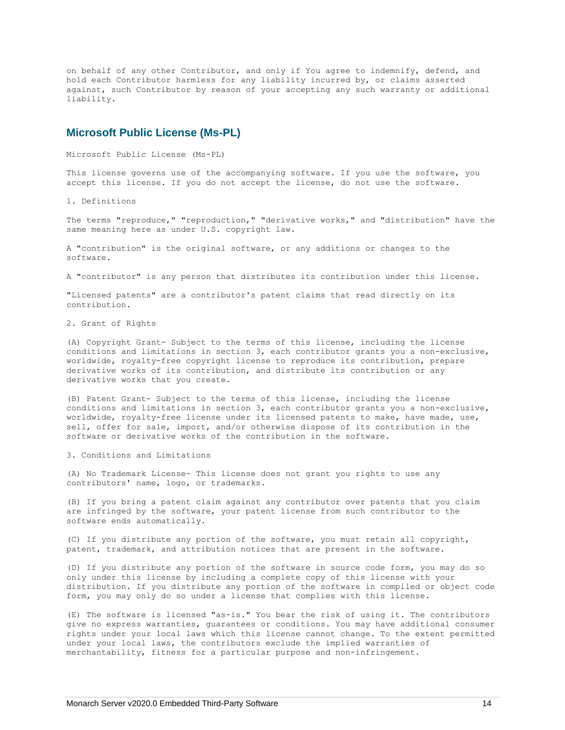on behalf of any other Contributor, and only if You agree to indemnify, defend, and hold each Contributor harmless for any liability incurred by, or claims asserted against, such Contributor by reason of your accepting any such warranty or additional liability.

## <span id="page-15-0"></span>**Microsoft Public License (Ms-PL)**

Microsoft Public License (Ms-PL)

This license governs use of the accompanying software. If you use the software, you accept this license. If you do not accept the license, do not use the software.

1. Definitions

The terms "reproduce," "reproduction," "derivative works," and "distribution" have the same meaning here as under U.S. copyright law.

A "contribution" is the original software, or any additions or changes to the software.

A "contributor" is any person that distributes its contribution under this license.

"Licensed patents" are a contributor's patent claims that read directly on its contribution.

2. Grant of Rights

(A) Copyright Grant- Subject to the terms of this license, including the license conditions and limitations in section 3, each contributor grants you a non-exclusive, worldwide, royalty-free copyright license to reproduce its contribution, prepare derivative works of its contribution, and distribute its contribution or any derivative works that you create.

(B) Patent Grant- Subject to the terms of this license, including the license conditions and limitations in section 3, each contributor grants you a non-exclusive, worldwide, royalty-free license under its licensed patents to make, have made, use, sell, offer for sale, import, and/or otherwise dispose of its contribution in the software or derivative works of the contribution in the software.

3. Conditions and Limitations

(A) No Trademark License- This license does not grant you rights to use any contributors' name, logo, or trademarks.

(B) If you bring a patent claim against any contributor over patents that you claim are infringed by the software, your patent license from such contributor to the software ends automatically.

(C) If you distribute any portion of the software, you must retain all copyright, patent, trademark, and attribution notices that are present in the software.

(D) If you distribute any portion of the software in source code form, you may do so only under this license by including a complete copy of this license with your distribution. If you distribute any portion of the software in compiled or object code form, you may only do so under a license that complies with this license.

(E) The software is licensed "as-is." You bear the risk of using it. The contributors give no express warranties, guarantees or conditions. You may have additional consumer rights under your local laws which this license cannot change. To the extent permitted under your local laws, the contributors exclude the implied warranties of merchantability, fitness for a particular purpose and non-infringement.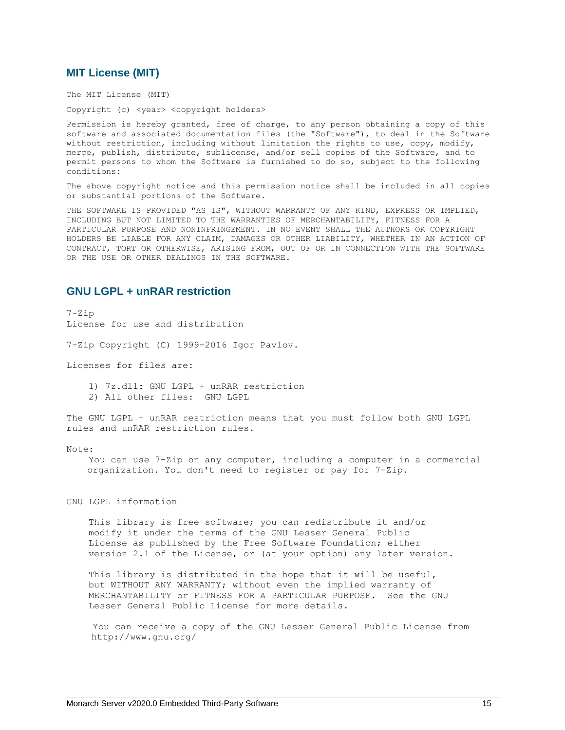## <span id="page-16-0"></span>**MIT License (MIT)**

The MIT License (MIT)

Copyright (c) <year> <copyright holders>

Permission is hereby granted, free of charge, to any person obtaining a copy of this software and associated documentation files (the "Software"), to deal in the Software without restriction, including without limitation the rights to use, copy, modify, merge, publish, distribute, sublicense, and/or sell copies of the Software, and to permit persons to whom the Software is furnished to do so, subject to the following conditions:

The above copyright notice and this permission notice shall be included in all copies or substantial portions of the Software.

THE SOFTWARE IS PROVIDED "AS IS", WITHOUT WARRANTY OF ANY KIND, EXPRESS OR IMPLIED, INCLUDING BUT NOT LIMITED TO THE WARRANTIES OF MERCHANTABILITY, FITNESS FOR A PARTICULAR PURPOSE AND NONINFRINGEMENT. IN NO EVENT SHALL THE AUTHORS OR COPYRIGHT HOLDERS BE LIABLE FOR ANY CLAIM, DAMAGES OR OTHER LIABILITY, WHETHER IN AN ACTION OF CONTRACT, TORT OR OTHERWISE, ARISING FROM, OUT OF OR IN CONNECTION WITH THE SOFTWARE OR THE USE OR OTHER DEALINGS IN THE SOFTWARE.

## <span id="page-16-1"></span>**GNU LGPL + unRAR restriction**

7-Zip License for use and distribution

7-Zip Copyright (C) 1999-2016 Igor Pavlov.

Licenses for files are:

 1) 7z.dll: GNU LGPL + unRAR restriction 2) All other files: GNU LGPL

The GNU LGPL + unRAR restriction means that you must follow both GNU LGPL rules and unRAR restriction rules.

#### Note:

You can use 7-Zip on any computer, including a computer in a commercial organization. You don't need to register or pay for 7-Zip.

GNU LGPL information

 This library is free software; you can redistribute it and/or modify it under the terms of the GNU Lesser General Public License as published by the Free Software Foundation; either version 2.1 of the License, or (at your option) any later version.

 This library is distributed in the hope that it will be useful, but WITHOUT ANY WARRANTY; without even the implied warranty of MERCHANTABILITY or FITNESS FOR A PARTICULAR PURPOSE. See the GNU Lesser General Public License for more details.

You can receive a copy of the GNU Lesser General Public License from http://www.gnu.org/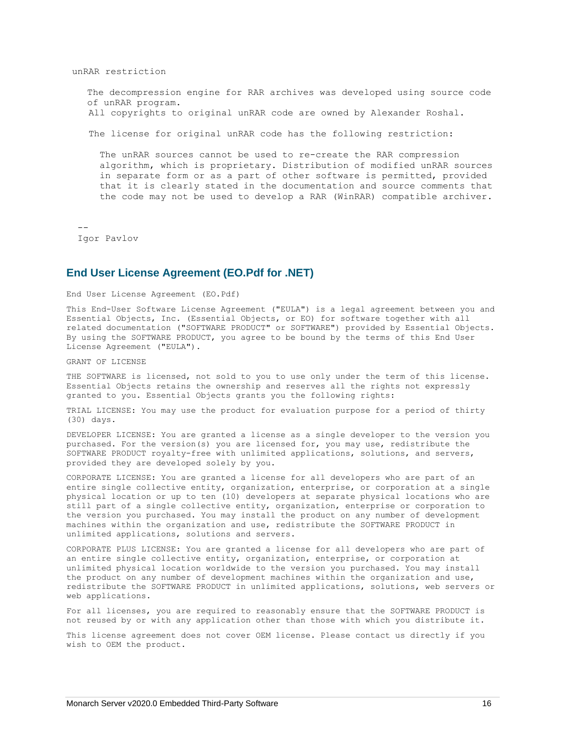unRAR restriction

The decompression engine for RAR archives was developed using source code of unRAR program.

All copyrights to original unRAR code are owned by Alexander Roshal.

The license for original unRAR code has the following restriction:

The unRAR sources cannot be used to re-create the RAR compression algorithm, which is proprietary. Distribution of modified unRAR sources in separate form or as a part of other software is permitted, provided that it is clearly stated in the documentation and source comments that the code may not be used to develop a RAR (WinRAR) compatible archiver.

<span id="page-17-0"></span> $-$ Igor Pavlov

#### **End User License Agreement (EO.Pdf for .NET)**

End User License Agreement (EO.Pdf)

This End-User Software License Agreement ("EULA") is a legal agreement between you and Essential Objects, Inc. (Essential Objects, or EO) for software together with all related documentation ("SOFTWARE PRODUCT" or SOFTWARE") provided by Essential Objects. By using the SOFTWARE PRODUCT, you agree to be bound by the terms of this End User License Agreement ("EULA").

GRANT OF LICENSE

THE SOFTWARE is licensed, not sold to you to use only under the term of this license. Essential Objects retains the ownership and reserves all the rights not expressly granted to you. Essential Objects grants you the following rights:

TRIAL LICENSE: You may use the product for evaluation purpose for a period of thirty (30) days.

DEVELOPER LICENSE: You are granted a license as a single developer to the version you purchased. For the version(s) you are licensed for, you may use, redistribute the SOFTWARE PRODUCT royalty-free with unlimited applications, solutions, and servers, provided they are developed solely by you.

CORPORATE LICENSE: You are granted a license for all developers who are part of an entire single collective entity, organization, enterprise, or corporation at a single physical location or up to ten (10) developers at separate physical locations who are still part of a single collective entity, organization, enterprise or corporation to the version you purchased. You may install the product on any number of development machines within the organization and use, redistribute the SOFTWARE PRODUCT in unlimited applications, solutions and servers.

CORPORATE PLUS LICENSE: You are granted a license for all developers who are part of an entire single collective entity, organization, enterprise, or corporation at unlimited physical location worldwide to the version you purchased. You may install the product on any number of development machines within the organization and use, redistribute the SOFTWARE PRODUCT in unlimited applications, solutions, web servers or web applications.

For all licenses, you are required to reasonably ensure that the SOFTWARE PRODUCT is not reused by or with any application other than those with which you distribute it.

This license agreement does not cover OEM license. Please contact us directly if you wish to OEM the product.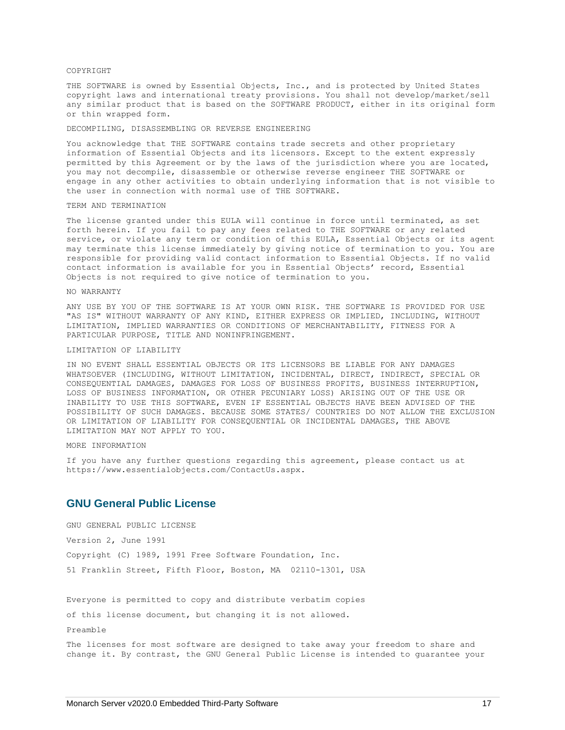#### **COPYRIGHT**

THE SOFTWARE is owned by Essential Objects, Inc., and is protected by United States copyright laws and international treaty provisions. You shall not develop/market/sell any similar product that is based on the SOFTWARE PRODUCT, either in its original form or thin wrapped form.

#### DECOMPILING, DISASSEMBLING OR REVERSE ENGINEERING

You acknowledge that THE SOFTWARE contains trade secrets and other proprietary information of Essential Objects and its licensors. Except to the extent expressly permitted by this Agreement or by the laws of the jurisdiction where you are located, you may not decompile, disassemble or otherwise reverse engineer THE SOFTWARE or engage in any other activities to obtain underlying information that is not visible to the user in connection with normal use of THE SOFTWARE.

#### TERM AND TERMINATION

The license granted under this EULA will continue in force until terminated, as set forth herein. If you fail to pay any fees related to THE SOFTWARE or any related service, or violate any term or condition of this EULA, Essential Objects or its agent may terminate this license immediately by giving notice of termination to you. You are responsible for providing valid contact information to Essential Objects. If no valid contact information is available for you in Essential Objects' record, Essential Objects is not required to give notice of termination to you.

#### NO WARRANTY

ANY USE BY YOU OF THE SOFTWARE IS AT YOUR OWN RISK. THE SOFTWARE IS PROVIDED FOR USE "AS IS" WITHOUT WARRANTY OF ANY KIND, EITHER EXPRESS OR IMPLIED, INCLUDING, WITHOUT LIMITATION, IMPLIED WARRANTIES OR CONDITIONS OF MERCHANTABILITY, FITNESS FOR A PARTICULAR PURPOSE, TITLE AND NONINFRINGEMENT.

#### LIMITATION OF LIABILITY

IN NO EVENT SHALL ESSENTIAL OBJECTS OR ITS LICENSORS BE LIABLE FOR ANY DAMAGES WHATSOEVER (INCLUDING, WITHOUT LIMITATION, INCIDENTAL, DIRECT, INDIRECT, SPECIAL OR CONSEQUENTIAL DAMAGES, DAMAGES FOR LOSS OF BUSINESS PROFITS, BUSINESS INTERRUPTION, LOSS OF BUSINESS INFORMATION, OR OTHER PECUNIARY LOSS) ARISING OUT OF THE USE OR INABILITY TO USE THIS SOFTWARE, EVEN IF ESSENTIAL OBJECTS HAVE BEEN ADVISED OF THE POSSIBILITY OF SUCH DAMAGES. BECAUSE SOME STATES/ COUNTRIES DO NOT ALLOW THE EXCLUSION OR LIMITATION OF LIABILITY FOR CONSEQUENTIAL OR INCIDENTAL DAMAGES, THE ABOVE LIMITATION MAY NOT APPLY TO YOU.

#### MORE INFORMATION

If you have any further questions regarding this agreement, please contact us at https://www.essentialobjects.com/ContactUs.aspx.

## <span id="page-18-0"></span>**GNU General Public License**

GNU GENERAL PUBLIC LICENSE

Version 2, June 1991

Copyright (C) 1989, 1991 Free Software Foundation, Inc. 51 Franklin Street, Fifth Floor, Boston, MA 02110-1301, USA

Everyone is permitted to copy and distribute verbatim copies

of this license document, but changing it is not allowed.

Preamble

The licenses for most software are designed to take away your freedom to share and change it. By contrast, the GNU General Public License is intended to guarantee your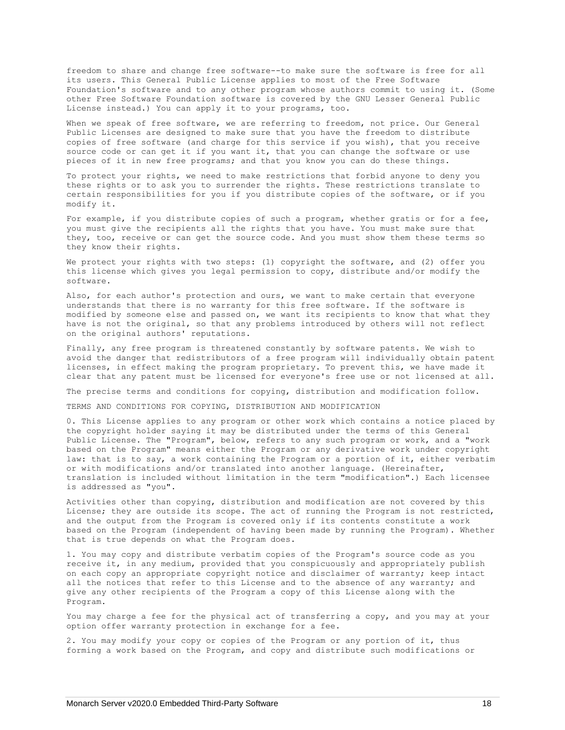freedom to share and change free software--to make sure the software is free for all its users. This General Public License applies to most of the Free Software Foundation's software and to any other program whose authors commit to using it. (Some other Free Software Foundation software is covered by the GNU Lesser General Public License instead.) You can apply it to your programs, too.

When we speak of free software, we are referring to freedom, not price. Our General Public Licenses are designed to make sure that you have the freedom to distribute copies of free software (and charge for this service if you wish), that you receive source code or can get it if you want it, that you can change the software or use pieces of it in new free programs; and that you know you can do these things.

To protect your rights, we need to make restrictions that forbid anyone to deny you these rights or to ask you to surrender the rights. These restrictions translate to certain responsibilities for you if you distribute copies of the software, or if you modify it.

For example, if you distribute copies of such a program, whether gratis or for a fee, you must give the recipients all the rights that you have. You must make sure that they, too, receive or can get the source code. And you must show them these terms so they know their rights.

We protect your rights with two steps: (1) copyright the software, and (2) offer you this license which gives you legal permission to copy, distribute and/or modify the software.

Also, for each author's protection and ours, we want to make certain that everyone understands that there is no warranty for this free software. If the software is modified by someone else and passed on, we want its recipients to know that what they have is not the original, so that any problems introduced by others will not reflect on the original authors' reputations.

Finally, any free program is threatened constantly by software patents. We wish to avoid the danger that redistributors of a free program will individually obtain patent licenses, in effect making the program proprietary. To prevent this, we have made it clear that any patent must be licensed for everyone's free use or not licensed at all.

The precise terms and conditions for copying, distribution and modification follow.

TERMS AND CONDITIONS FOR COPYING, DISTRIBUTION AND MODIFICATION

0. This License applies to any program or other work which contains a notice placed by the copyright holder saying it may be distributed under the terms of this General Public License. The "Program", below, refers to any such program or work, and a "work based on the Program" means either the Program or any derivative work under copyright law: that is to say, a work containing the Program or a portion of it, either verbatim or with modifications and/or translated into another language. (Hereinafter, translation is included without limitation in the term "modification".) Each licensee is addressed as "you".

Activities other than copying, distribution and modification are not covered by this License; they are outside its scope. The act of running the Program is not restricted, and the output from the Program is covered only if its contents constitute a work based on the Program (independent of having been made by running the Program). Whether that is true depends on what the Program does.

1. You may copy and distribute verbatim copies of the Program's source code as you receive it, in any medium, provided that you conspicuously and appropriately publish on each copy an appropriate copyright notice and disclaimer of warranty; keep intact all the notices that refer to this License and to the absence of any warranty; and give any other recipients of the Program a copy of this License along with the Program.

You may charge a fee for the physical act of transferring a copy, and you may at your option offer warranty protection in exchange for a fee.

2. You may modify your copy or copies of the Program or any portion of it, thus forming a work based on the Program, and copy and distribute such modifications or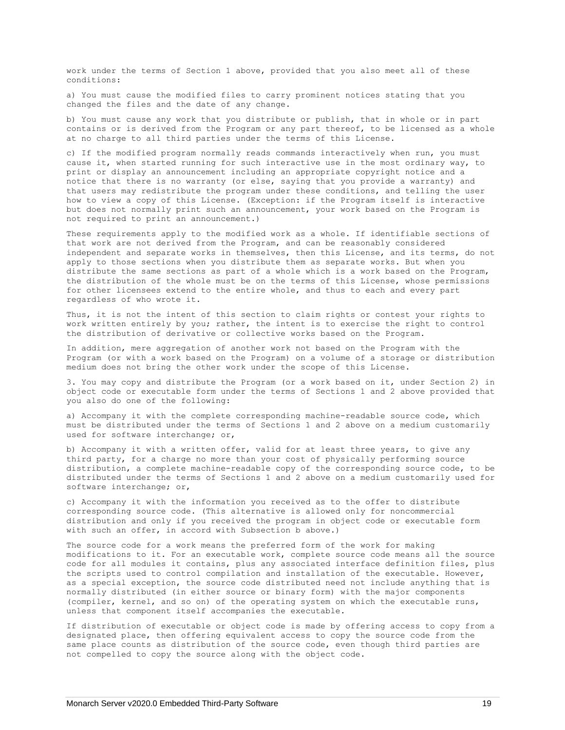work under the terms of Section 1 above, provided that you also meet all of these conditions:

a) You must cause the modified files to carry prominent notices stating that you changed the files and the date of any change.

b) You must cause any work that you distribute or publish, that in whole or in part contains or is derived from the Program or any part thereof, to be licensed as a whole at no charge to all third parties under the terms of this License.

c) If the modified program normally reads commands interactively when run, you must cause it, when started running for such interactive use in the most ordinary way, to print or display an announcement including an appropriate copyright notice and a notice that there is no warranty (or else, saying that you provide a warranty) and that users may redistribute the program under these conditions, and telling the user how to view a copy of this License. (Exception: if the Program itself is interactive but does not normally print such an announcement, your work based on the Program is not required to print an announcement.)

These requirements apply to the modified work as a whole. If identifiable sections of that work are not derived from the Program, and can be reasonably considered independent and separate works in themselves, then this License, and its terms, do not apply to those sections when you distribute them as separate works. But when you distribute the same sections as part of a whole which is a work based on the Program, the distribution of the whole must be on the terms of this License, whose permissions for other licensees extend to the entire whole, and thus to each and every part regardless of who wrote it.

Thus, it is not the intent of this section to claim rights or contest your rights to work written entirely by you; rather, the intent is to exercise the right to control the distribution of derivative or collective works based on the Program.

In addition, mere aggregation of another work not based on the Program with the Program (or with a work based on the Program) on a volume of a storage or distribution medium does not bring the other work under the scope of this License.

3. You may copy and distribute the Program (or a work based on it, under Section 2) in object code or executable form under the terms of Sections 1 and 2 above provided that you also do one of the following:

a) Accompany it with the complete corresponding machine-readable source code, which must be distributed under the terms of Sections 1 and 2 above on a medium customarily used for software interchange; or,

b) Accompany it with a written offer, valid for at least three years, to give any third party, for a charge no more than your cost of physically performing source distribution, a complete machine-readable copy of the corresponding source code, to be distributed under the terms of Sections 1 and 2 above on a medium customarily used for software interchange; or,

c) Accompany it with the information you received as to the offer to distribute corresponding source code. (This alternative is allowed only for noncommercial distribution and only if you received the program in object code or executable form with such an offer, in accord with Subsection b above.)

The source code for a work means the preferred form of the work for making modifications to it. For an executable work, complete source code means all the source code for all modules it contains, plus any associated interface definition files, plus the scripts used to control compilation and installation of the executable. However, as a special exception, the source code distributed need not include anything that is normally distributed (in either source or binary form) with the major components (compiler, kernel, and so on) of the operating system on which the executable runs, unless that component itself accompanies the executable.

If distribution of executable or object code is made by offering access to copy from a designated place, then offering equivalent access to copy the source code from the same place counts as distribution of the source code, even though third parties are not compelled to copy the source along with the object code.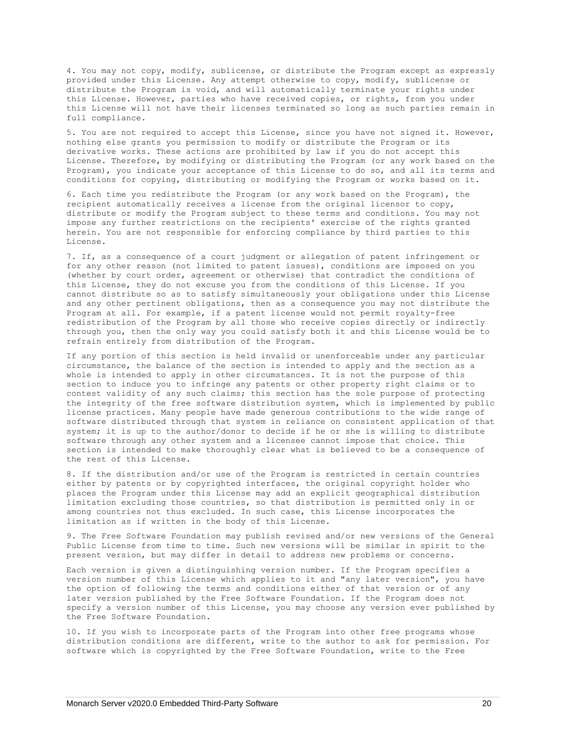4. You may not copy, modify, sublicense, or distribute the Program except as expressly provided under this License. Any attempt otherwise to copy, modify, sublicense or distribute the Program is void, and will automatically terminate your rights under this License. However, parties who have received copies, or rights, from you under this License will not have their licenses terminated so long as such parties remain in full compliance.

5. You are not required to accept this License, since you have not signed it. However, nothing else grants you permission to modify or distribute the Program or its derivative works. These actions are prohibited by law if you do not accept this License. Therefore, by modifying or distributing the Program (or any work based on the Program), you indicate your acceptance of this License to do so, and all its terms and conditions for copying, distributing or modifying the Program or works based on it.

6. Each time you redistribute the Program (or any work based on the Program), the recipient automatically receives a license from the original licensor to copy, distribute or modify the Program subject to these terms and conditions. You may not impose any further restrictions on the recipients' exercise of the rights granted herein. You are not responsible for enforcing compliance by third parties to this License.

7. If, as a consequence of a court judgment or allegation of patent infringement or for any other reason (not limited to patent issues), conditions are imposed on you (whether by court order, agreement or otherwise) that contradict the conditions of this License, they do not excuse you from the conditions of this License. If you cannot distribute so as to satisfy simultaneously your obligations under this License and any other pertinent obligations, then as a consequence you may not distribute the Program at all. For example, if a patent license would not permit royalty-free redistribution of the Program by all those who receive copies directly or indirectly through you, then the only way you could satisfy both it and this License would be to refrain entirely from distribution of the Program.

If any portion of this section is held invalid or unenforceable under any particular circumstance, the balance of the section is intended to apply and the section as a whole is intended to apply in other circumstances. It is not the purpose of this section to induce you to infringe any patents or other property right claims or to contest validity of any such claims; this section has the sole purpose of protecting the integrity of the free software distribution system, which is implemented by public license practices. Many people have made generous contributions to the wide range of software distributed through that system in reliance on consistent application of that system; it is up to the author/donor to decide if he or she is willing to distribute software through any other system and a licensee cannot impose that choice. This section is intended to make thoroughly clear what is believed to be a consequence of the rest of this License.

8. If the distribution and/or use of the Program is restricted in certain countries either by patents or by copyrighted interfaces, the original copyright holder who places the Program under this License may add an explicit geographical distribution limitation excluding those countries, so that distribution is permitted only in or among countries not thus excluded. In such case, this License incorporates the limitation as if written in the body of this License.

9. The Free Software Foundation may publish revised and/or new versions of the General Public License from time to time. Such new versions will be similar in spirit to the present version, but may differ in detail to address new problems or concerns.

Each version is given a distinguishing version number. If the Program specifies a version number of this License which applies to it and "any later version", you have the option of following the terms and conditions either of that version or of any later version published by the Free Software Foundation. If the Program does not specify a version number of this License, you may choose any version ever published by the Free Software Foundation.

10. If you wish to incorporate parts of the Program into other free programs whose distribution conditions are different, write to the author to ask for permission. For software which is copyrighted by the Free Software Foundation, write to the Free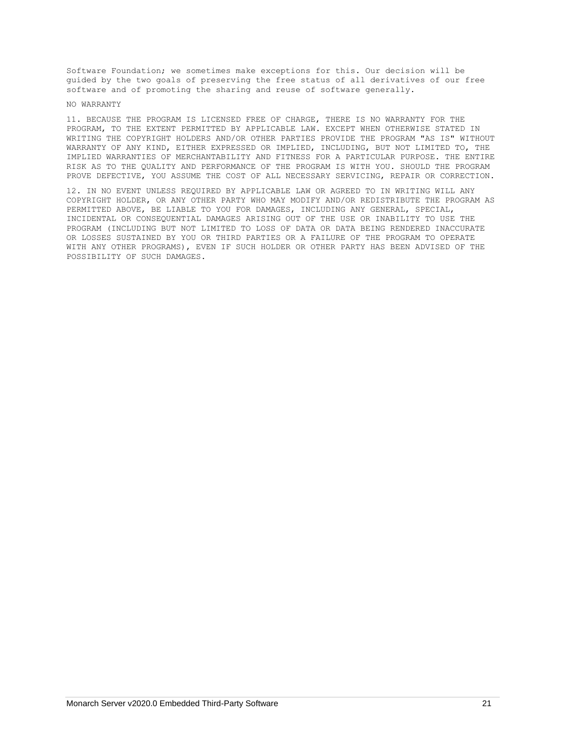Software Foundation; we sometimes make exceptions for this. Our decision will be guided by the two goals of preserving the free status of all derivatives of our free software and of promoting the sharing and reuse of software generally.

#### NO WARRANTY

11. BECAUSE THE PROGRAM IS LICENSED FREE OF CHARGE, THERE IS NO WARRANTY FOR THE PROGRAM, TO THE EXTENT PERMITTED BY APPLICABLE LAW. EXCEPT WHEN OTHERWISE STATED IN WRITING THE COPYRIGHT HOLDERS AND/OR OTHER PARTIES PROVIDE THE PROGRAM "AS IS" WITHOUT WARRANTY OF ANY KIND, EITHER EXPRESSED OR IMPLIED, INCLUDING, BUT NOT LIMITED TO, THE IMPLIED WARRANTIES OF MERCHANTABILITY AND FITNESS FOR A PARTICULAR PURPOSE. THE ENTIRE RISK AS TO THE QUALITY AND PERFORMANCE OF THE PROGRAM IS WITH YOU. SHOULD THE PROGRAM PROVE DEFECTIVE, YOU ASSUME THE COST OF ALL NECESSARY SERVICING, REPAIR OR CORRECTION.

12. IN NO EVENT UNLESS REQUIRED BY APPLICABLE LAW OR AGREED TO IN WRITING WILL ANY COPYRIGHT HOLDER, OR ANY OTHER PARTY WHO MAY MODIFY AND/OR REDISTRIBUTE THE PROGRAM AS PERMITTED ABOVE, BE LIABLE TO YOU FOR DAMAGES, INCLUDING ANY GENERAL, SPECIAL, INCIDENTAL OR CONSEQUENTIAL DAMAGES ARISING OUT OF THE USE OR INABILITY TO USE THE PROGRAM (INCLUDING BUT NOT LIMITED TO LOSS OF DATA OR DATA BEING RENDERED INACCURATE OR LOSSES SUSTAINED BY YOU OR THIRD PARTIES OR A FAILURE OF THE PROGRAM TO OPERATE WITH ANY OTHER PROGRAMS), EVEN IF SUCH HOLDER OR OTHER PARTY HAS BEEN ADVISED OF THE POSSIBILITY OF SUCH DAMAGES.